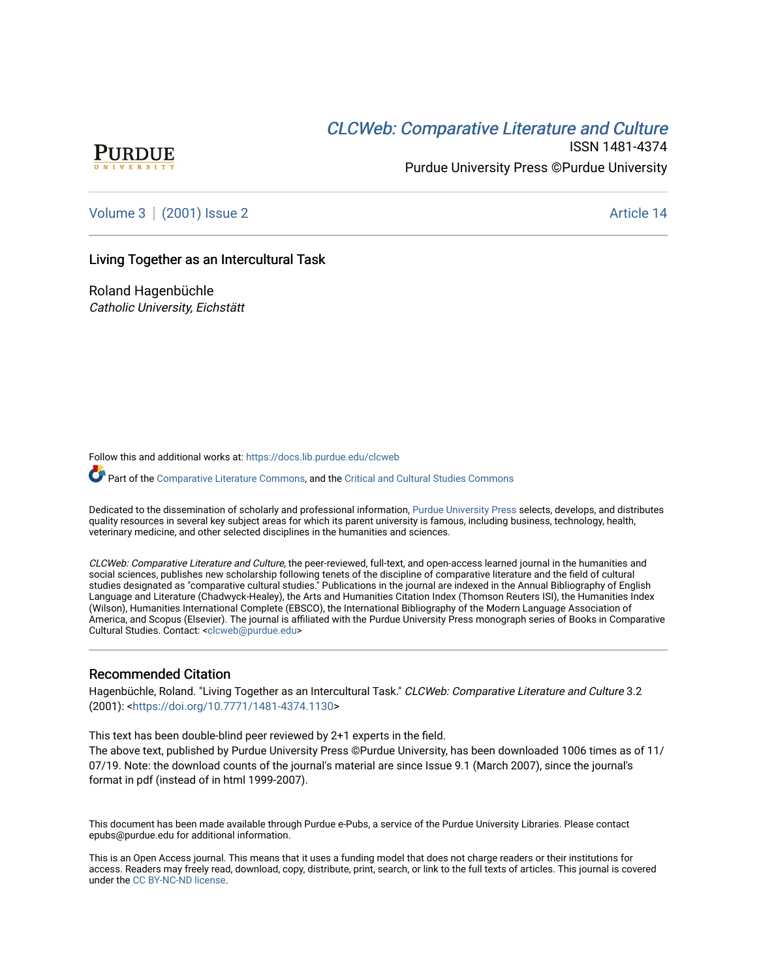# CLCW[eb: Comparative Liter](https://docs.lib.purdue.edu/clcweb)ature and Culture



ISSN 1481-4374 Purdue University Press ©Purdue University

[Volume 3](https://docs.lib.purdue.edu/clcweb/vol3) | [\(2001\) Issue 2](https://docs.lib.purdue.edu/clcweb/vol3/iss2) Article 14

## Living Together as an Intercultural Task

Roland Hagenbüchle Catholic University, Eichstätt

Follow this and additional works at: [https://docs.lib.purdue.edu/clcweb](https://docs.lib.purdue.edu/clcweb?utm_source=docs.lib.purdue.edu%2Fclcweb%2Fvol3%2Fiss2%2F14&utm_medium=PDF&utm_campaign=PDFCoverPages)

Part of the [Comparative Literature Commons,](http://network.bepress.com/hgg/discipline/454?utm_source=docs.lib.purdue.edu%2Fclcweb%2Fvol3%2Fiss2%2F14&utm_medium=PDF&utm_campaign=PDFCoverPages) and the [Critical and Cultural Studies Commons](http://network.bepress.com/hgg/discipline/328?utm_source=docs.lib.purdue.edu%2Fclcweb%2Fvol3%2Fiss2%2F14&utm_medium=PDF&utm_campaign=PDFCoverPages) 

Dedicated to the dissemination of scholarly and professional information, [Purdue University Press](http://www.thepress.purdue.edu/) selects, develops, and distributes quality resources in several key subject areas for which its parent university is famous, including business, technology, health, veterinary medicine, and other selected disciplines in the humanities and sciences.

CLCWeb: Comparative Literature and Culture, the peer-reviewed, full-text, and open-access learned journal in the humanities and social sciences, publishes new scholarship following tenets of the discipline of comparative literature and the field of cultural studies designated as "comparative cultural studies." Publications in the journal are indexed in the Annual Bibliography of English Language and Literature (Chadwyck-Healey), the Arts and Humanities Citation Index (Thomson Reuters ISI), the Humanities Index (Wilson), Humanities International Complete (EBSCO), the International Bibliography of the Modern Language Association of America, and Scopus (Elsevier). The journal is affiliated with the Purdue University Press monograph series of Books in Comparative Cultural Studies. Contact: [<clcweb@purdue.edu](mailto:clcweb@purdue.edu)>

#### Recommended Citation

Hagenbüchle, Roland. "Living Together as an Intercultural Task." CLCWeb: Comparative Literature and Culture 3.2 (2001): [<https://doi.org/10.7771/1481-4374.1130](https://doi.org/10.7771/1481-4374.1130)>

This text has been double-blind peer reviewed by 2+1 experts in the field.

The above text, published by Purdue University Press ©Purdue University, has been downloaded 1006 times as of 11/ 07/19. Note: the download counts of the journal's material are since Issue 9.1 (March 2007), since the journal's format in pdf (instead of in html 1999-2007).

This document has been made available through Purdue e-Pubs, a service of the Purdue University Libraries. Please contact epubs@purdue.edu for additional information.

This is an Open Access journal. This means that it uses a funding model that does not charge readers or their institutions for access. Readers may freely read, download, copy, distribute, print, search, or link to the full texts of articles. This journal is covered under the [CC BY-NC-ND license.](https://creativecommons.org/licenses/by-nc-nd/4.0/)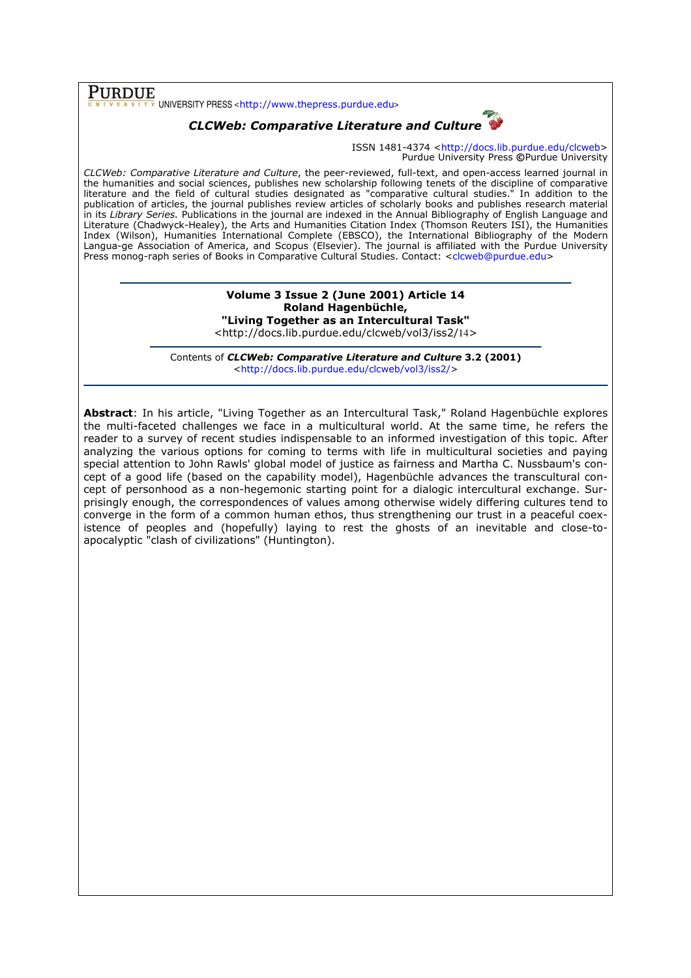$\overline{\text{PURDUE}}$  UNIVERSITY PRESS <http://www.thepress.purdue.edu>

# CLCWeb: Comparative Literature and Culture

ISSN 1481-4374 <http://docs.lib.purdue.edu/clcweb> Purdue University Press ©Purdue University

CLCWeb: Comparative Literature and Culture, the peer-reviewed, full-text, and open-access learned journal in the humanities and social sciences, publishes new scholarship following tenets of the discipline of comparative literature and the field of cultural studies designated as "comparative cultural studies." In addition to the publication of articles, the journal publishes review articles of scholarly books and publishes research material in its Library Series. Publications in the journal are indexed in the Annual Bibliography of English Language and Literature (Chadwyck-Healey), the Arts and Humanities Citation Index (Thomson Reuters ISI), the Humanities Index (Wilson), Humanities International Complete (EBSCO), the International Bibliography of the Modern Langua-ge Association of America, and Scopus (Elsevier). The journal is affiliated with the Purdue University Press monog-raph series of Books in Comparative Cultural Studies. Contact: <clcweb@purdue.edu>

#### Volume 3 Issue 2 (June 2001) Article 14 Roland Hagenbüchle, "Living Together as an Intercultural Task" <http://docs.lib.purdue.edu/clcweb/vol3/iss2/14>

Contents of CLCWeb: Comparative Literature and Culture 3.2 (2001) <http://docs.lib.purdue.edu/clcweb/vol3/iss2/>

Abstract: In his article, "Living Together as an Intercultural Task," Roland Hagenbüchle explores the multi-faceted challenges we face in a multicultural world. At the same time, he refers the reader to a survey of recent studies indispensable to an informed investigation of this topic. After analyzing the various options for coming to terms with life in multicultural societies and paying special attention to John Rawls' global model of justice as fairness and Martha C. Nussbaum's concept of a good life (based on the capability model), Hagenbüchle advances the transcultural concept of personhood as a non-hegemonic starting point for a dialogic intercultural exchange. Surprisingly enough, the correspondences of values among otherwise widely differing cultures tend to converge in the form of a common human ethos, thus strengthening our trust in a peaceful coexistence of peoples and (hopefully) laying to rest the ghosts of an inevitable and close-toapocalyptic "clash of civilizations" (Huntington).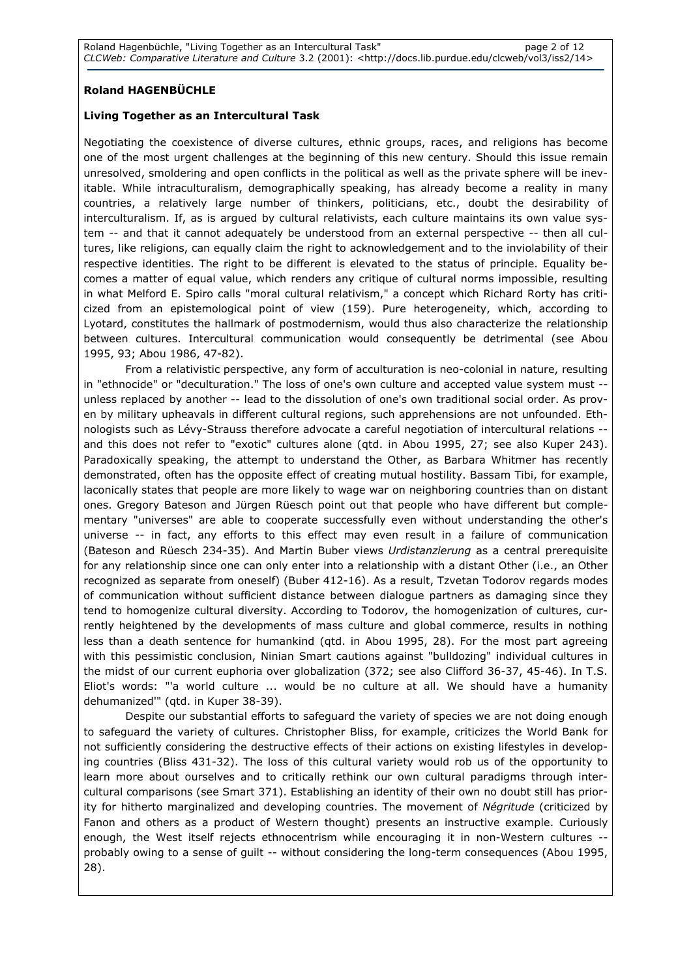# Roland HAGENBÜCHLE

## Living Together as an Intercultural Task

Negotiating the coexistence of diverse cultures, ethnic groups, races, and religions has become one of the most urgent challenges at the beginning of this new century. Should this issue remain unresolved, smoldering and open conflicts in the political as well as the private sphere will be inevitable. While intraculturalism, demographically speaking, has already become a reality in many countries, a relatively large number of thinkers, politicians, etc., doubt the desirability of interculturalism. If, as is argued by cultural relativists, each culture maintains its own value system -- and that it cannot adequately be understood from an external perspective -- then all cultures, like religions, can equally claim the right to acknowledgement and to the inviolability of their respective identities. The right to be different is elevated to the status of principle. Equality becomes a matter of equal value, which renders any critique of cultural norms impossible, resulting in what Melford E. Spiro calls "moral cultural relativism," a concept which Richard Rorty has criticized from an epistemological point of view (159). Pure heterogeneity, which, according to Lyotard, constitutes the hallmark of postmodernism, would thus also characterize the relationship between cultures. Intercultural communication would consequently be detrimental (see Abou 1995, 93; Abou 1986, 47-82).

From a relativistic perspective, any form of acculturation is neo-colonial in nature, resulting in "ethnocide" or "deculturation." The loss of one's own culture and accepted value system must - unless replaced by another -- lead to the dissolution of one's own traditional social order. As proven by military upheavals in different cultural regions, such apprehensions are not unfounded. Ethnologists such as Lévy-Strauss therefore advocate a careful negotiation of intercultural relations - and this does not refer to "exotic" cultures alone (qtd. in Abou 1995, 27; see also Kuper 243). Paradoxically speaking, the attempt to understand the Other, as Barbara Whitmer has recently demonstrated, often has the opposite effect of creating mutual hostility. Bassam Tibi, for example, laconically states that people are more likely to wage war on neighboring countries than on distant ones. Gregory Bateson and Jürgen Rüesch point out that people who have different but complementary "universes" are able to cooperate successfully even without understanding the other's universe -- in fact, any efforts to this effect may even result in a failure of communication (Bateson and Rüesch 234-35). And Martin Buber views Urdistanzierung as a central prerequisite for any relationship since one can only enter into a relationship with a distant Other (i.e., an Other recognized as separate from oneself) (Buber 412-16). As a result, Tzvetan Todorov regards modes of communication without sufficient distance between dialogue partners as damaging since they tend to homogenize cultural diversity. According to Todorov, the homogenization of cultures, currently heightened by the developments of mass culture and global commerce, results in nothing less than a death sentence for humankind (qtd. in Abou 1995, 28). For the most part agreeing with this pessimistic conclusion, Ninian Smart cautions against "bulldozing" individual cultures in the midst of our current euphoria over globalization (372; see also Clifford 36-37, 45-46). In T.S. Eliot's words: "'a world culture ... would be no culture at all. We should have a humanity dehumanized'" (qtd. in Kuper 38-39).

Despite our substantial efforts to safeguard the variety of species we are not doing enough to safeguard the variety of cultures. Christopher Bliss, for example, criticizes the World Bank for not sufficiently considering the destructive effects of their actions on existing lifestyles in developing countries (Bliss 431-32). The loss of this cultural variety would rob us of the opportunity to learn more about ourselves and to critically rethink our own cultural paradigms through intercultural comparisons (see Smart 371). Establishing an identity of their own no doubt still has priority for hitherto marginalized and developing countries. The movement of Négritude (criticized by Fanon and others as a product of Western thought) presents an instructive example. Curiously enough, the West itself rejects ethnocentrism while encouraging it in non-Western cultures - probably owing to a sense of guilt -- without considering the long-term consequences (Abou 1995, 28).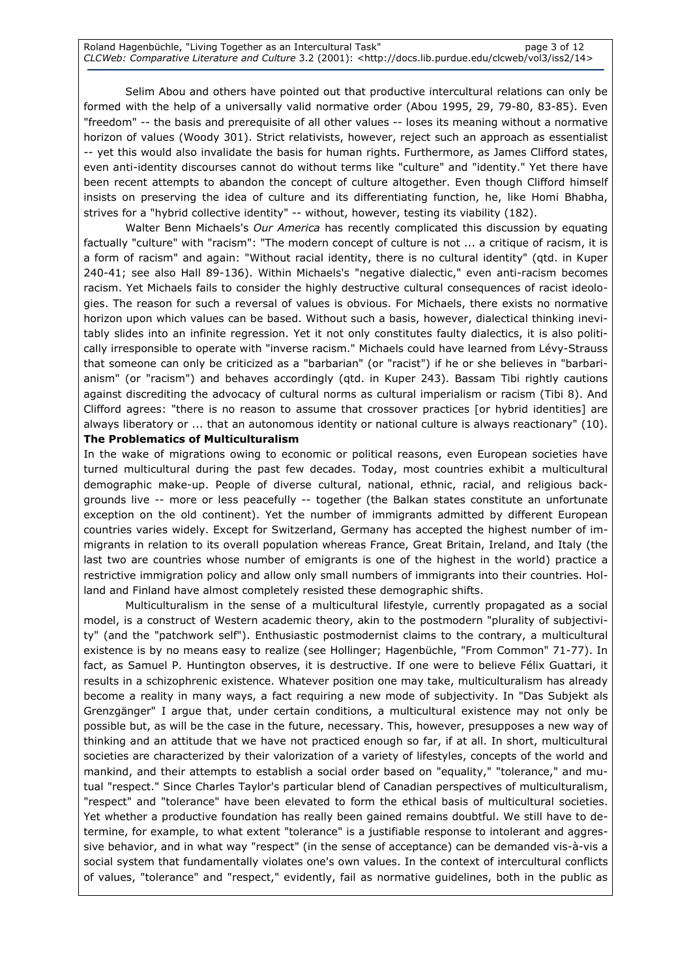Selim Abou and others have pointed out that productive intercultural relations can only be formed with the help of a universally valid normative order (Abou 1995, 29, 79-80, 83-85). Even "freedom" -- the basis and prerequisite of all other values -- loses its meaning without a normative horizon of values (Woody 301). Strict relativists, however, reject such an approach as essentialist -- yet this would also invalidate the basis for human rights. Furthermore, as James Clifford states, even anti-identity discourses cannot do without terms like "culture" and "identity." Yet there have been recent attempts to abandon the concept of culture altogether. Even though Clifford himself insists on preserving the idea of culture and its differentiating function, he, like Homi Bhabha, strives for a "hybrid collective identity" -- without, however, testing its viability (182).

Walter Benn Michaels's Our America has recently complicated this discussion by equating factually "culture" with "racism": "The modern concept of culture is not ... a critique of racism, it is a form of racism" and again: "Without racial identity, there is no cultural identity" (qtd. in Kuper 240-41; see also Hall 89-136). Within Michaels's "negative dialectic," even anti-racism becomes racism. Yet Michaels fails to consider the highly destructive cultural consequences of racist ideologies. The reason for such a reversal of values is obvious. For Michaels, there exists no normative horizon upon which values can be based. Without such a basis, however, dialectical thinking inevitably slides into an infinite regression. Yet it not only constitutes faulty dialectics, it is also politically irresponsible to operate with "inverse racism." Michaels could have learned from Lévy-Strauss that someone can only be criticized as a "barbarian" (or "racist") if he or she believes in "barbarianism" (or "racism") and behaves accordingly (qtd. in Kuper 243). Bassam Tibi rightly cautions against discrediting the advocacy of cultural norms as cultural imperialism or racism (Tibi 8). And Clifford agrees: "there is no reason to assume that crossover practices [or hybrid identities] are always liberatory or ... that an autonomous identity or national culture is always reactionary" (10).

## The Problematics of Multiculturalism

In the wake of migrations owing to economic or political reasons, even European societies have turned multicultural during the past few decades. Today, most countries exhibit a multicultural demographic make-up. People of diverse cultural, national, ethnic, racial, and religious backgrounds live -- more or less peacefully -- together (the Balkan states constitute an unfortunate exception on the old continent). Yet the number of immigrants admitted by different European countries varies widely. Except for Switzerland, Germany has accepted the highest number of immigrants in relation to its overall population whereas France, Great Britain, Ireland, and Italy (the last two are countries whose number of emigrants is one of the highest in the world) practice a restrictive immigration policy and allow only small numbers of immigrants into their countries. Holland and Finland have almost completely resisted these demographic shifts.

Multiculturalism in the sense of a multicultural lifestyle, currently propagated as a social model, is a construct of Western academic theory, akin to the postmodern "plurality of subjectivity" (and the "patchwork self"). Enthusiastic postmodernist claims to the contrary, a multicultural existence is by no means easy to realize (see Hollinger; Hagenbüchle, "From Common" 71-77). In fact, as Samuel P. Huntington observes, it is destructive. If one were to believe Félix Guattari, it results in a schizophrenic existence. Whatever position one may take, multiculturalism has already become a reality in many ways, a fact requiring a new mode of subjectivity. In "Das Subjekt als Grenzgänger" I argue that, under certain conditions, a multicultural existence may not only be possible but, as will be the case in the future, necessary. This, however, presupposes a new way of thinking and an attitude that we have not practiced enough so far, if at all. In short, multicultural societies are characterized by their valorization of a variety of lifestyles, concepts of the world and mankind, and their attempts to establish a social order based on "equality," "tolerance," and mutual "respect." Since Charles Taylor's particular blend of Canadian perspectives of multiculturalism, "respect" and "tolerance" have been elevated to form the ethical basis of multicultural societies. Yet whether a productive foundation has really been gained remains doubtful. We still have to determine, for example, to what extent "tolerance" is a justifiable response to intolerant and aggressive behavior, and in what way "respect" (in the sense of acceptance) can be demanded vis-à-vis a social system that fundamentally violates one's own values. In the context of intercultural conflicts of values, "tolerance" and "respect," evidently, fail as normative guidelines, both in the public as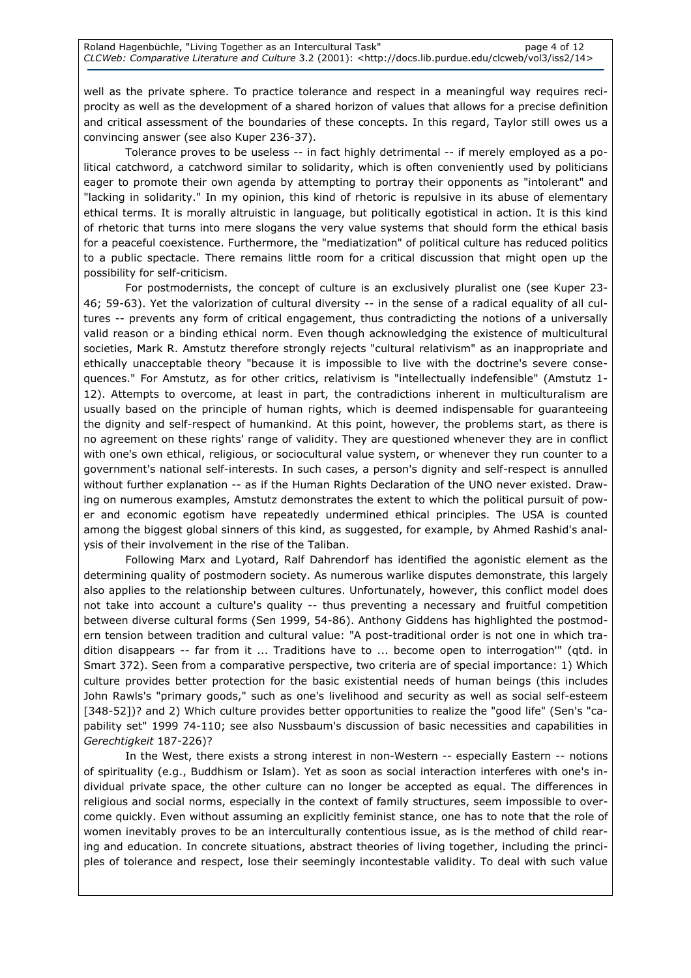well as the private sphere. To practice tolerance and respect in a meaningful way requires reciprocity as well as the development of a shared horizon of values that allows for a precise definition and critical assessment of the boundaries of these concepts. In this regard, Taylor still owes us a convincing answer (see also Kuper 236-37).

Tolerance proves to be useless -- in fact highly detrimental -- if merely employed as a political catchword, a catchword similar to solidarity, which is often conveniently used by politicians eager to promote their own agenda by attempting to portray their opponents as "intolerant" and "lacking in solidarity." In my opinion, this kind of rhetoric is repulsive in its abuse of elementary ethical terms. It is morally altruistic in language, but politically egotistical in action. It is this kind of rhetoric that turns into mere slogans the very value systems that should form the ethical basis for a peaceful coexistence. Furthermore, the "mediatization" of political culture has reduced politics to a public spectacle. There remains little room for a critical discussion that might open up the possibility for self-criticism.

For postmodernists, the concept of culture is an exclusively pluralist one (see Kuper 23- 46; 59-63). Yet the valorization of cultural diversity -- in the sense of a radical equality of all cultures -- prevents any form of critical engagement, thus contradicting the notions of a universally valid reason or a binding ethical norm. Even though acknowledging the existence of multicultural societies, Mark R. Amstutz therefore strongly rejects "cultural relativism" as an inappropriate and ethically unacceptable theory "because it is impossible to live with the doctrine's severe consequences." For Amstutz, as for other critics, relativism is "intellectually indefensible" (Amstutz 1- 12). Attempts to overcome, at least in part, the contradictions inherent in multiculturalism are usually based on the principle of human rights, which is deemed indispensable for guaranteeing the dignity and self-respect of humankind. At this point, however, the problems start, as there is no agreement on these rights' range of validity. They are questioned whenever they are in conflict with one's own ethical, religious, or sociocultural value system, or whenever they run counter to a government's national self-interests. In such cases, a person's dignity and self-respect is annulled without further explanation -- as if the Human Rights Declaration of the UNO never existed. Drawing on numerous examples, Amstutz demonstrates the extent to which the political pursuit of power and economic egotism have repeatedly undermined ethical principles. The USA is counted among the biggest global sinners of this kind, as suggested, for example, by Ahmed Rashid's analysis of their involvement in the rise of the Taliban.

Following Marx and Lyotard, Ralf Dahrendorf has identified the agonistic element as the determining quality of postmodern society. As numerous warlike disputes demonstrate, this largely also applies to the relationship between cultures. Unfortunately, however, this conflict model does not take into account a culture's quality -- thus preventing a necessary and fruitful competition between diverse cultural forms (Sen 1999, 54-86). Anthony Giddens has highlighted the postmodern tension between tradition and cultural value: "A post-traditional order is not one in which tradition disappears -- far from it ... Traditions have to ... become open to interrogation'" (qtd. in Smart 372). Seen from a comparative perspective, two criteria are of special importance: 1) Which culture provides better protection for the basic existential needs of human beings (this includes John Rawls's "primary goods," such as one's livelihood and security as well as social self-esteem [348-52])? and 2) Which culture provides better opportunities to realize the "good life" (Sen's "capability set" 1999 74-110; see also Nussbaum's discussion of basic necessities and capabilities in Gerechtigkeit 187-226)?

In the West, there exists a strong interest in non-Western -- especially Eastern -- notions of spirituality (e.g., Buddhism or Islam). Yet as soon as social interaction interferes with one's individual private space, the other culture can no longer be accepted as equal. The differences in religious and social norms, especially in the context of family structures, seem impossible to overcome quickly. Even without assuming an explicitly feminist stance, one has to note that the role of women inevitably proves to be an interculturally contentious issue, as is the method of child rearing and education. In concrete situations, abstract theories of living together, including the principles of tolerance and respect, lose their seemingly incontestable validity. To deal with such value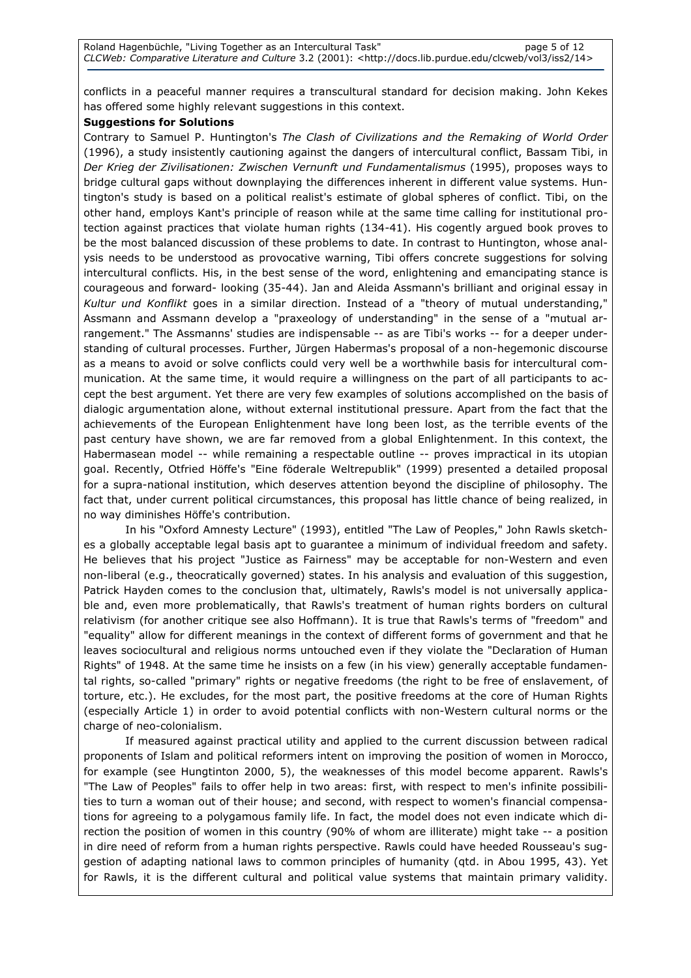conflicts in a peaceful manner requires a transcultural standard for decision making. John Kekes has offered some highly relevant suggestions in this context.

#### Suggestions for Solutions

Contrary to Samuel P. Huntington's The Clash of Civilizations and the Remaking of World Order (1996), a study insistently cautioning against the dangers of intercultural conflict, Bassam Tibi, in Der Krieg der Zivilisationen: Zwischen Vernunft und Fundamentalismus (1995), proposes ways to bridge cultural gaps without downplaying the differences inherent in different value systems. Huntington's study is based on a political realist's estimate of global spheres of conflict. Tibi, on the other hand, employs Kant's principle of reason while at the same time calling for institutional protection against practices that violate human rights (134-41). His cogently argued book proves to be the most balanced discussion of these problems to date. In contrast to Huntington, whose analysis needs to be understood as provocative warning, Tibi offers concrete suggestions for solving intercultural conflicts. His, in the best sense of the word, enlightening and emancipating stance is courageous and forward- looking (35-44). Jan and Aleida Assmann's brilliant and original essay in Kultur und Konflikt goes in a similar direction. Instead of a "theory of mutual understanding," Assmann and Assmann develop a "praxeology of understanding" in the sense of a "mutual arrangement." The Assmanns' studies are indispensable -- as are Tibi's works -- for a deeper understanding of cultural processes. Further, Jürgen Habermas's proposal of a non-hegemonic discourse as a means to avoid or solve conflicts could very well be a worthwhile basis for intercultural communication. At the same time, it would require a willingness on the part of all participants to accept the best argument. Yet there are very few examples of solutions accomplished on the basis of dialogic argumentation alone, without external institutional pressure. Apart from the fact that the achievements of the European Enlightenment have long been lost, as the terrible events of the past century have shown, we are far removed from a global Enlightenment. In this context, the Habermasean model -- while remaining a respectable outline -- proves impractical in its utopian goal. Recently, Otfried Höffe's "Eine föderale Weltrepublik" (1999) presented a detailed proposal for a supra-national institution, which deserves attention beyond the discipline of philosophy. The fact that, under current political circumstances, this proposal has little chance of being realized, in no way diminishes Höffe's contribution.

In his "Oxford Amnesty Lecture" (1993), entitled "The Law of Peoples," John Rawls sketches a globally acceptable legal basis apt to guarantee a minimum of individual freedom and safety. He believes that his project "Justice as Fairness" may be acceptable for non-Western and even non-liberal (e.g., theocratically governed) states. In his analysis and evaluation of this suggestion, Patrick Hayden comes to the conclusion that, ultimately, Rawls's model is not universally applicable and, even more problematically, that Rawls's treatment of human rights borders on cultural relativism (for another critique see also Hoffmann). It is true that Rawls's terms of "freedom" and "equality" allow for different meanings in the context of different forms of government and that he leaves sociocultural and religious norms untouched even if they violate the "Declaration of Human Rights" of 1948. At the same time he insists on a few (in his view) generally acceptable fundamental rights, so-called "primary" rights or negative freedoms (the right to be free of enslavement, of torture, etc.). He excludes, for the most part, the positive freedoms at the core of Human Rights (especially Article 1) in order to avoid potential conflicts with non-Western cultural norms or the charge of neo-colonialism.

If measured against practical utility and applied to the current discussion between radical proponents of Islam and political reformers intent on improving the position of women in Morocco, for example (see Hungtinton 2000, 5), the weaknesses of this model become apparent. Rawls's "The Law of Peoples" fails to offer help in two areas: first, with respect to men's infinite possibilities to turn a woman out of their house; and second, with respect to women's financial compensations for agreeing to a polygamous family life. In fact, the model does not even indicate which direction the position of women in this country (90% of whom are illiterate) might take -- a position in dire need of reform from a human rights perspective. Rawls could have heeded Rousseau's suggestion of adapting national laws to common principles of humanity (qtd. in Abou 1995, 43). Yet for Rawls, it is the different cultural and political value systems that maintain primary validity.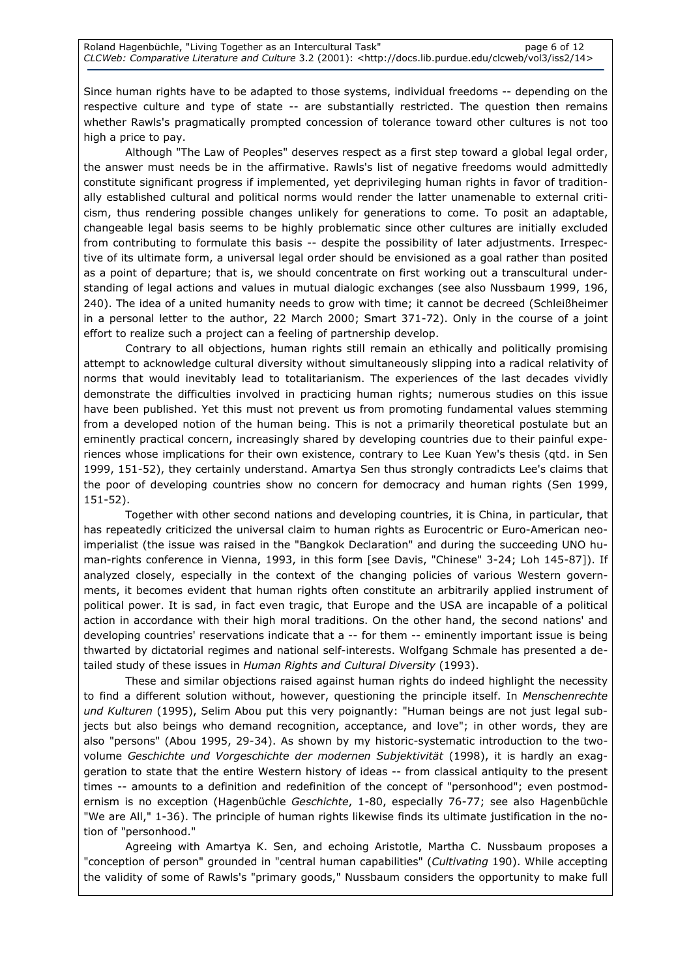Since human rights have to be adapted to those systems, individual freedoms -- depending on the respective culture and type of state -- are substantially restricted. The question then remains whether Rawls's pragmatically prompted concession of tolerance toward other cultures is not too high a price to pay.

Although "The Law of Peoples" deserves respect as a first step toward a global legal order, the answer must needs be in the affirmative. Rawls's list of negative freedoms would admittedly constitute significant progress if implemented, yet deprivileging human rights in favor of traditionally established cultural and political norms would render the latter unamenable to external criticism, thus rendering possible changes unlikely for generations to come. To posit an adaptable, changeable legal basis seems to be highly problematic since other cultures are initially excluded from contributing to formulate this basis -- despite the possibility of later adjustments. Irrespective of its ultimate form, a universal legal order should be envisioned as a goal rather than posited as a point of departure; that is, we should concentrate on first working out a transcultural understanding of legal actions and values in mutual dialogic exchanges (see also Nussbaum 1999, 196, 240). The idea of a united humanity needs to grow with time; it cannot be decreed (Schleißheimer in a personal letter to the author, 22 March 2000; Smart 371-72). Only in the course of a joint effort to realize such a project can a feeling of partnership develop.

Contrary to all objections, human rights still remain an ethically and politically promising attempt to acknowledge cultural diversity without simultaneously slipping into a radical relativity of norms that would inevitably lead to totalitarianism. The experiences of the last decades vividly demonstrate the difficulties involved in practicing human rights; numerous studies on this issue have been published. Yet this must not prevent us from promoting fundamental values stemming from a developed notion of the human being. This is not a primarily theoretical postulate but an eminently practical concern, increasingly shared by developing countries due to their painful experiences whose implications for their own existence, contrary to Lee Kuan Yew's thesis (qtd. in Sen 1999, 151-52), they certainly understand. Amartya Sen thus strongly contradicts Lee's claims that the poor of developing countries show no concern for democracy and human rights (Sen 1999, 151-52).

Together with other second nations and developing countries, it is China, in particular, that has repeatedly criticized the universal claim to human rights as Eurocentric or Euro-American neoimperialist (the issue was raised in the "Bangkok Declaration" and during the succeeding UNO human-rights conference in Vienna, 1993, in this form [see Davis, "Chinese" 3-24; Loh 145-87]). If analyzed closely, especially in the context of the changing policies of various Western governments, it becomes evident that human rights often constitute an arbitrarily applied instrument of political power. It is sad, in fact even tragic, that Europe and the USA are incapable of a political action in accordance with their high moral traditions. On the other hand, the second nations' and developing countries' reservations indicate that a -- for them -- eminently important issue is being thwarted by dictatorial regimes and national self-interests. Wolfgang Schmale has presented a detailed study of these issues in Human Rights and Cultural Diversity (1993).

These and similar objections raised against human rights do indeed highlight the necessity to find a different solution without, however, questioning the principle itself. In Menschenrechte und Kulturen (1995), Selim Abou put this very poignantly: "Human beings are not just legal subjects but also beings who demand recognition, acceptance, and love"; in other words, they are also "persons" (Abou 1995, 29-34). As shown by my historic-systematic introduction to the twovolume Geschichte und Vorgeschichte der modernen Subjektivität (1998), it is hardly an exaggeration to state that the entire Western history of ideas -- from classical antiquity to the present times -- amounts to a definition and redefinition of the concept of "personhood"; even postmodernism is no exception (Hagenbüchle Geschichte, 1-80, especially 76-77; see also Hagenbüchle "We are All," 1-36). The principle of human rights likewise finds its ultimate justification in the notion of "personhood."

Agreeing with Amartya K. Sen, and echoing Aristotle, Martha C. Nussbaum proposes a "conception of person" grounded in "central human capabilities" (Cultivating 190). While accepting the validity of some of Rawls's "primary goods," Nussbaum considers the opportunity to make full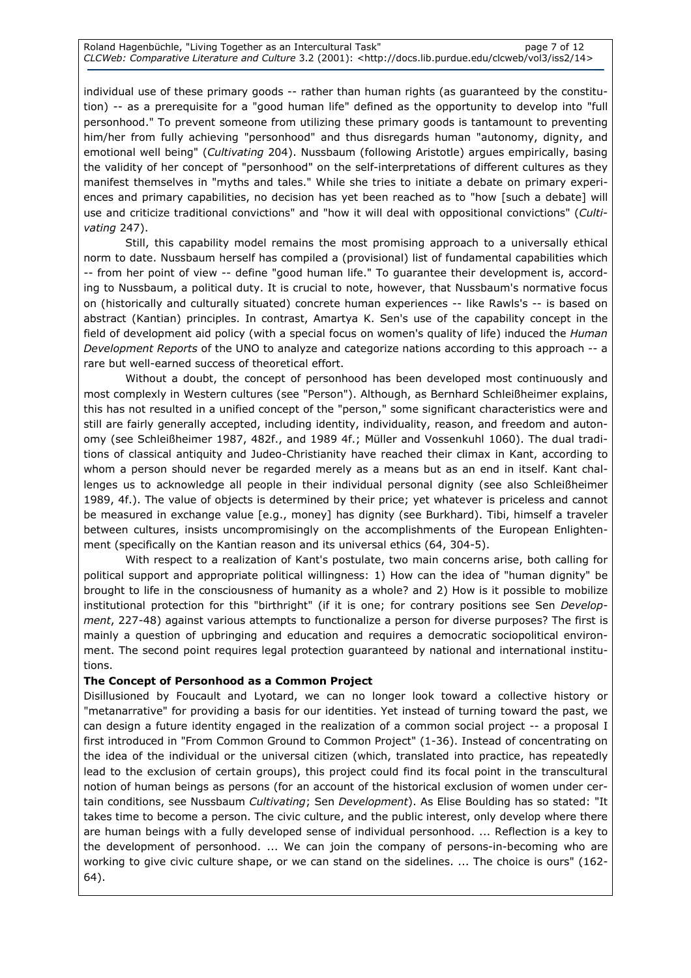individual use of these primary goods -- rather than human rights (as guaranteed by the constitution) -- as a prerequisite for a "good human life" defined as the opportunity to develop into "full personhood." To prevent someone from utilizing these primary goods is tantamount to preventing him/her from fully achieving "personhood" and thus disregards human "autonomy, dignity, and emotional well being" (Cultivating 204). Nussbaum (following Aristotle) argues empirically, basing the validity of her concept of "personhood" on the self-interpretations of different cultures as they manifest themselves in "myths and tales." While she tries to initiate a debate on primary experiences and primary capabilities, no decision has yet been reached as to "how [such a debate] will use and criticize traditional convictions" and "how it will deal with oppositional convictions" (Cultivating 247).

Still, this capability model remains the most promising approach to a universally ethical norm to date. Nussbaum herself has compiled a (provisional) list of fundamental capabilities which -- from her point of view -- define "good human life." To guarantee their development is, according to Nussbaum, a political duty. It is crucial to note, however, that Nussbaum's normative focus on (historically and culturally situated) concrete human experiences -- like Rawls's -- is based on abstract (Kantian) principles. In contrast, Amartya K. Sen's use of the capability concept in the field of development aid policy (with a special focus on women's quality of life) induced the Human Development Reports of the UNO to analyze and categorize nations according to this approach -- a rare but well-earned success of theoretical effort.

Without a doubt, the concept of personhood has been developed most continuously and most complexly in Western cultures (see "Person"). Although, as Bernhard Schleißheimer explains, this has not resulted in a unified concept of the "person," some significant characteristics were and still are fairly generally accepted, including identity, individuality, reason, and freedom and autonomy (see Schleißheimer 1987, 482f., and 1989 4f.; Müller and Vossenkuhl 1060). The dual traditions of classical antiquity and Judeo-Christianity have reached their climax in Kant, according to whom a person should never be regarded merely as a means but as an end in itself. Kant challenges us to acknowledge all people in their individual personal dignity (see also Schleißheimer 1989, 4f.). The value of objects is determined by their price; yet whatever is priceless and cannot be measured in exchange value [e.g., money] has dignity (see Burkhard). Tibi, himself a traveler between cultures, insists uncompromisingly on the accomplishments of the European Enlightenment (specifically on the Kantian reason and its universal ethics (64, 304-5).

With respect to a realization of Kant's postulate, two main concerns arise, both calling for political support and appropriate political willingness: 1) How can the idea of "human dignity" be brought to life in the consciousness of humanity as a whole? and 2) How is it possible to mobilize institutional protection for this "birthright" (if it is one; for contrary positions see Sen Development, 227-48) against various attempts to functionalize a person for diverse purposes? The first is mainly a question of upbringing and education and requires a democratic sociopolitical environment. The second point requires legal protection guaranteed by national and international institutions.

# The Concept of Personhood as a Common Project

Disillusioned by Foucault and Lyotard, we can no longer look toward a collective history or "metanarrative" for providing a basis for our identities. Yet instead of turning toward the past, we can design a future identity engaged in the realization of a common social project -- a proposal I first introduced in "From Common Ground to Common Project" (1-36). Instead of concentrating on the idea of the individual or the universal citizen (which, translated into practice, has repeatedly lead to the exclusion of certain groups), this project could find its focal point in the transcultural notion of human beings as persons (for an account of the historical exclusion of women under certain conditions, see Nussbaum Cultivating; Sen Development). As Elise Boulding has so stated: "It takes time to become a person. The civic culture, and the public interest, only develop where there are human beings with a fully developed sense of individual personhood. ... Reflection is a key to the development of personhood. ... We can join the company of persons-in-becoming who are working to give civic culture shape, or we can stand on the sidelines. ... The choice is ours" (162- 64).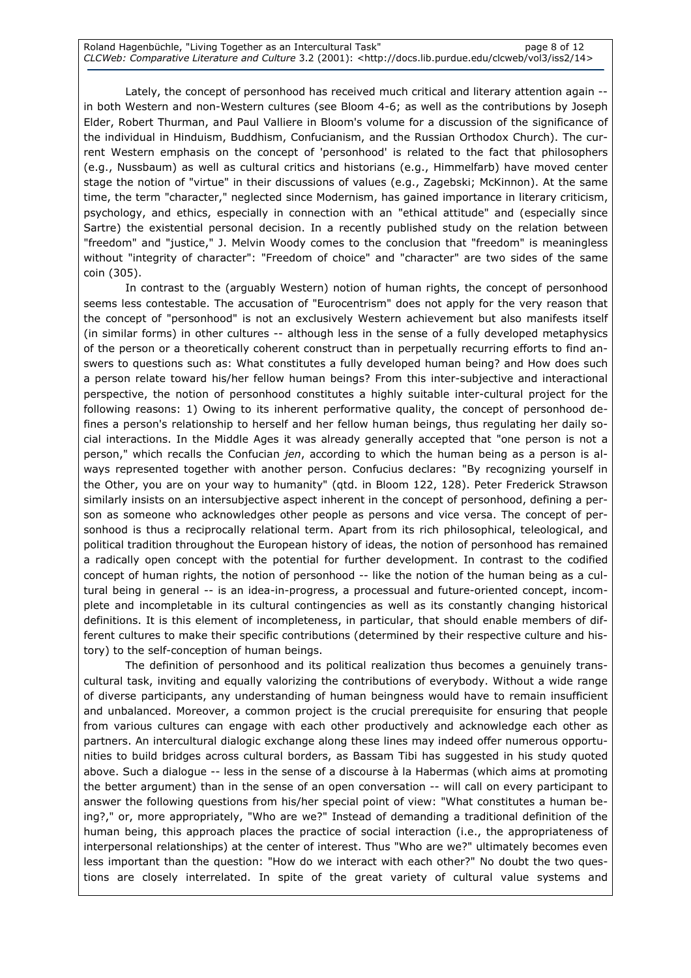Lately, the concept of personhood has received much critical and literary attention again - in both Western and non-Western cultures (see Bloom 4-6; as well as the contributions by Joseph Elder, Robert Thurman, and Paul Valliere in Bloom's volume for a discussion of the significance of the individual in Hinduism, Buddhism, Confucianism, and the Russian Orthodox Church). The current Western emphasis on the concept of 'personhood' is related to the fact that philosophers (e.g., Nussbaum) as well as cultural critics and historians (e.g., Himmelfarb) have moved center stage the notion of "virtue" in their discussions of values (e.g., Zagebski; McKinnon). At the same time, the term "character," neglected since Modernism, has gained importance in literary criticism, psychology, and ethics, especially in connection with an "ethical attitude" and (especially since Sartre) the existential personal decision. In a recently published study on the relation between "freedom" and "justice," J. Melvin Woody comes to the conclusion that "freedom" is meaningless without "integrity of character": "Freedom of choice" and "character" are two sides of the same coin (305).

In contrast to the (arguably Western) notion of human rights, the concept of personhood seems less contestable. The accusation of "Eurocentrism" does not apply for the very reason that the concept of "personhood" is not an exclusively Western achievement but also manifests itself (in similar forms) in other cultures -- although less in the sense of a fully developed metaphysics of the person or a theoretically coherent construct than in perpetually recurring efforts to find answers to questions such as: What constitutes a fully developed human being? and How does such a person relate toward his/her fellow human beings? From this inter-subjective and interactional perspective, the notion of personhood constitutes a highly suitable inter-cultural project for the following reasons: 1) Owing to its inherent performative quality, the concept of personhood defines a person's relationship to herself and her fellow human beings, thus regulating her daily social interactions. In the Middle Ages it was already generally accepted that "one person is not a person," which recalls the Confucian jen, according to which the human being as a person is always represented together with another person. Confucius declares: "By recognizing yourself in the Other, you are on your way to humanity" (qtd. in Bloom 122, 128). Peter Frederick Strawson similarly insists on an intersubjective aspect inherent in the concept of personhood, defining a person as someone who acknowledges other people as persons and vice versa. The concept of personhood is thus a reciprocally relational term. Apart from its rich philosophical, teleological, and political tradition throughout the European history of ideas, the notion of personhood has remained a radically open concept with the potential for further development. In contrast to the codified concept of human rights, the notion of personhood -- like the notion of the human being as a cultural being in general -- is an idea-in-progress, a processual and future-oriented concept, incomplete and incompletable in its cultural contingencies as well as its constantly changing historical definitions. It is this element of incompleteness, in particular, that should enable members of different cultures to make their specific contributions (determined by their respective culture and history) to the self-conception of human beings.

The definition of personhood and its political realization thus becomes a genuinely transcultural task, inviting and equally valorizing the contributions of everybody. Without a wide range of diverse participants, any understanding of human beingness would have to remain insufficient and unbalanced. Moreover, a common project is the crucial prerequisite for ensuring that people from various cultures can engage with each other productively and acknowledge each other as partners. An intercultural dialogic exchange along these lines may indeed offer numerous opportunities to build bridges across cultural borders, as Bassam Tibi has suggested in his study quoted above. Such a dialogue -- less in the sense of a discourse à la Habermas (which aims at promoting the better argument) than in the sense of an open conversation -- will call on every participant to answer the following questions from his/her special point of view: "What constitutes a human being?," or, more appropriately, "Who are we?" Instead of demanding a traditional definition of the human being, this approach places the practice of social interaction (i.e., the appropriateness of interpersonal relationships) at the center of interest. Thus "Who are we?" ultimately becomes even less important than the question: "How do we interact with each other?" No doubt the two questions are closely interrelated. In spite of the great variety of cultural value systems and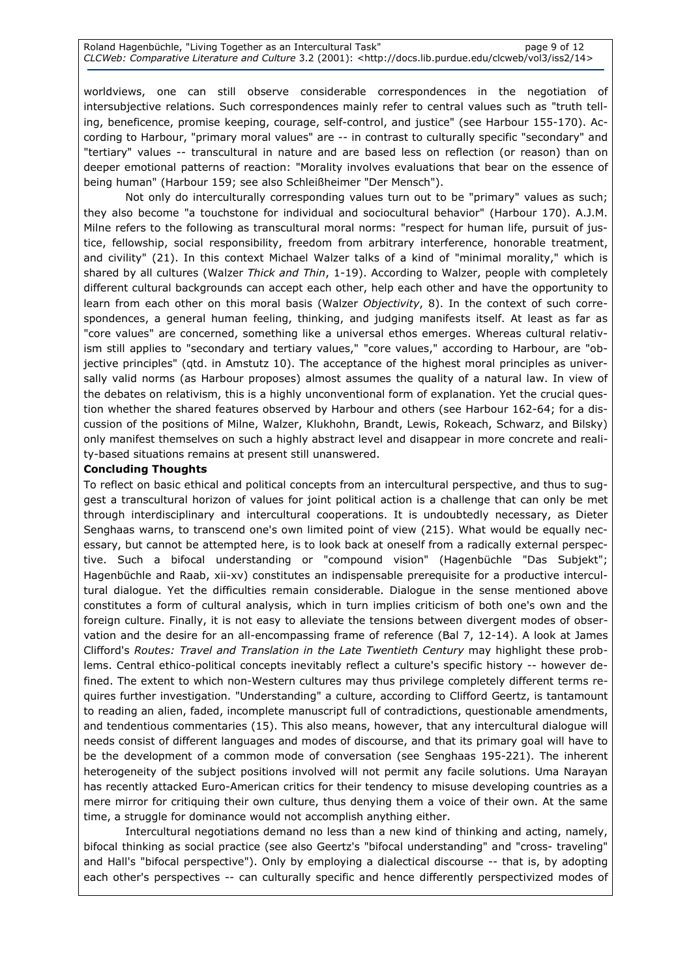#### Roland Hagenbüchle, "Living Together as an Intercultural Task" https://www.page 9 of 12 CLCWeb: Comparative Literature and Culture 3.2 (2001): <http://docs.lib.purdue.edu/clcweb/vol3/iss2/14>

worldviews, one can still observe considerable correspondences in the negotiation of intersubjective relations. Such correspondences mainly refer to central values such as "truth telling, beneficence, promise keeping, courage, self-control, and justice" (see Harbour 155-170). According to Harbour, "primary moral values" are -- in contrast to culturally specific "secondary" and "tertiary" values -- transcultural in nature and are based less on reflection (or reason) than on deeper emotional patterns of reaction: "Morality involves evaluations that bear on the essence of being human" (Harbour 159; see also Schleißheimer "Der Mensch").

Not only do interculturally corresponding values turn out to be "primary" values as such; they also become "a touchstone for individual and sociocultural behavior" (Harbour 170). A.J.M. Milne refers to the following as transcultural moral norms: "respect for human life, pursuit of justice, fellowship, social responsibility, freedom from arbitrary interference, honorable treatment, and civility" (21). In this context Michael Walzer talks of a kind of "minimal morality," which is shared by all cultures (Walzer Thick and Thin, 1-19). According to Walzer, people with completely different cultural backgrounds can accept each other, help each other and have the opportunity to learn from each other on this moral basis (Walzer Objectivity, 8). In the context of such correspondences, a general human feeling, thinking, and judging manifests itself. At least as far as "core values" are concerned, something like a universal ethos emerges. Whereas cultural relativism still applies to "secondary and tertiary values," "core values," according to Harbour, are "objective principles" (qtd. in Amstutz 10). The acceptance of the highest moral principles as universally valid norms (as Harbour proposes) almost assumes the quality of a natural law. In view of the debates on relativism, this is a highly unconventional form of explanation. Yet the crucial question whether the shared features observed by Harbour and others (see Harbour 162-64; for a discussion of the positions of Milne, Walzer, Klukhohn, Brandt, Lewis, Rokeach, Schwarz, and Bilsky) only manifest themselves on such a highly abstract level and disappear in more concrete and reality-based situations remains at present still unanswered.

## Concluding Thoughts

To reflect on basic ethical and political concepts from an intercultural perspective, and thus to suggest a transcultural horizon of values for joint political action is a challenge that can only be met through interdisciplinary and intercultural cooperations. It is undoubtedly necessary, as Dieter Senghaas warns, to transcend one's own limited point of view (215). What would be equally necessary, but cannot be attempted here, is to look back at oneself from a radically external perspective. Such a bifocal understanding or "compound vision" (Hagenbüchle "Das Subjekt"; Hagenbüchle and Raab, xii-xv) constitutes an indispensable prerequisite for a productive intercultural dialogue. Yet the difficulties remain considerable. Dialogue in the sense mentioned above constitutes a form of cultural analysis, which in turn implies criticism of both one's own and the foreign culture. Finally, it is not easy to alleviate the tensions between divergent modes of observation and the desire for an all-encompassing frame of reference (Bal 7, 12-14). A look at James Clifford's Routes: Travel and Translation in the Late Twentieth Century may highlight these problems. Central ethico-political concepts inevitably reflect a culture's specific history -- however defined. The extent to which non-Western cultures may thus privilege completely different terms requires further investigation. "Understanding" a culture, according to Clifford Geertz, is tantamount to reading an alien, faded, incomplete manuscript full of contradictions, questionable amendments, and tendentious commentaries (15). This also means, however, that any intercultural dialogue will needs consist of different languages and modes of discourse, and that its primary goal will have to be the development of a common mode of conversation (see Senghaas 195-221). The inherent heterogeneity of the subject positions involved will not permit any facile solutions. Uma Narayan has recently attacked Euro-American critics for their tendency to misuse developing countries as a mere mirror for critiquing their own culture, thus denying them a voice of their own. At the same time, a struggle for dominance would not accomplish anything either.

Intercultural negotiations demand no less than a new kind of thinking and acting, namely, bifocal thinking as social practice (see also Geertz's "bifocal understanding" and "cross- traveling" and Hall's "bifocal perspective"). Only by employing a dialectical discourse -- that is, by adopting each other's perspectives -- can culturally specific and hence differently perspectivized modes of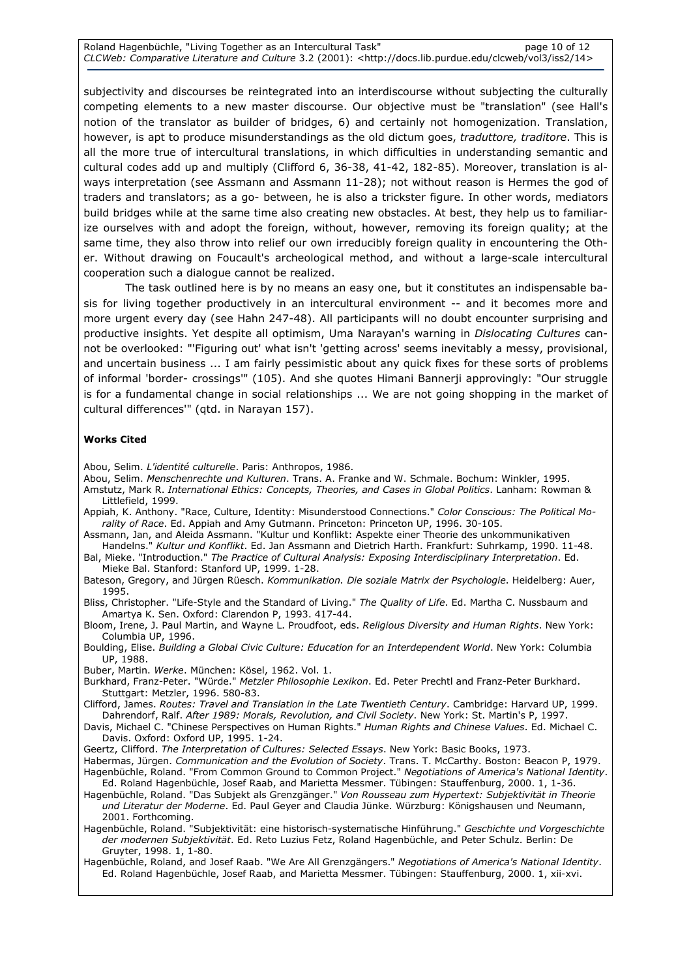subjectivity and discourses be reintegrated into an interdiscourse without subjecting the culturally competing elements to a new master discourse. Our objective must be "translation" (see Hall's notion of the translator as builder of bridges, 6) and certainly not homogenization. Translation, however, is apt to produce misunderstandings as the old dictum goes, traduttore, traditore. This is all the more true of intercultural translations, in which difficulties in understanding semantic and cultural codes add up and multiply (Clifford 6, 36-38, 41-42, 182-85). Moreover, translation is always interpretation (see Assmann and Assmann 11-28); not without reason is Hermes the god of traders and translators; as a go- between, he is also a trickster figure. In other words, mediators build bridges while at the same time also creating new obstacles. At best, they help us to familiarize ourselves with and adopt the foreign, without, however, removing its foreign quality; at the same time, they also throw into relief our own irreducibly foreign quality in encountering the Other. Without drawing on Foucault's archeological method, and without a large-scale intercultural cooperation such a dialogue cannot be realized.

The task outlined here is by no means an easy one, but it constitutes an indispensable basis for living together productively in an intercultural environment -- and it becomes more and more urgent every day (see Hahn 247-48). All participants will no doubt encounter surprising and productive insights. Yet despite all optimism, Uma Narayan's warning in Dislocating Cultures cannot be overlooked: "'Figuring out' what isn't 'getting across' seems inevitably a messy, provisional, and uncertain business ... I am fairly pessimistic about any quick fixes for these sorts of problems of informal 'border- crossings'" (105). And she quotes Himani Bannerji approvingly: "Our struggle is for a fundamental change in social relationships ... We are not going shopping in the market of cultural differences'" (qtd. in Narayan 157).

#### Works Cited

Abou, Selim. L'identité culturelle. Paris: Anthropos, 1986.

- Abou, Selim. Menschenrechte und Kulturen. Trans. A. Franke and W. Schmale. Bochum: Winkler, 1995.
- Amstutz, Mark R. International Ethics: Concepts, Theories, and Cases in Global Politics. Lanham: Rowman & Littlefield, 1999.
- Appiah, K. Anthony. "Race, Culture, Identity: Misunderstood Connections." Color Conscious: The Political Morality of Race. Ed. Appiah and Amy Gutmann. Princeton: Princeton UP, 1996. 30-105.
- Assmann, Jan, and Aleida Assmann. "Kultur und Konflikt: Aspekte einer Theorie des unkommunikativen Handelns." Kultur und Konflikt. Ed. Jan Assmann and Dietrich Harth. Frankfurt: Suhrkamp, 1990. 11-48.
- Bal, Mieke. "Introduction." The Practice of Cultural Analysis: Exposing Interdisciplinary Interpretation. Ed. Mieke Bal. Stanford: Stanford UP, 1999. 1-28.
- Bateson, Gregory, and Jürgen Rüesch. Kommunikation. Die soziale Matrix der Psychologie. Heidelberg: Auer, 1995.
- Bliss, Christopher. "Life-Style and the Standard of Living." The Quality of Life. Ed. Martha C. Nussbaum and Amartya K. Sen. Oxford: Clarendon P, 1993. 417-44.
- Bloom, Irene, J. Paul Martin, and Wayne L. Proudfoot, eds. Religious Diversity and Human Rights. New York: Columbia UP, 1996.
- Boulding, Elise. Building a Global Civic Culture: Education for an Interdependent World. New York: Columbia UP, 1988.

Buber, Martin. Werke. München: Kösel, 1962. Vol. 1.

- Burkhard, Franz-Peter. "Würde." Metzler Philosophie Lexikon. Ed. Peter Prechtl and Franz-Peter Burkhard. Stuttgart: Metzler, 1996. 580-83.
- Clifford, James. Routes: Travel and Translation in the Late Twentieth Century. Cambridge: Harvard UP, 1999. Dahrendorf, Ralf. After 1989: Morals, Revolution, and Civil Society. New York: St. Martin's P, 1997.
- Davis, Michael C. "Chinese Perspectives on Human Rights." Human Rights and Chinese Values. Ed. Michael C. Davis. Oxford: Oxford UP, 1995. 1-24.
- Geertz, Clifford. The Interpretation of Cultures: Selected Essays. New York: Basic Books, 1973.
- Habermas, Jürgen. Communication and the Evolution of Society. Trans. T. McCarthy. Boston: Beacon P, 1979. Hagenbüchle, Roland. "From Common Ground to Common Project." Negotiations of America's National Identity. Ed. Roland Hagenbüchle, Josef Raab, and Marietta Messmer. Tübingen: Stauffenburg, 2000. 1, 1-36.
- Hagenbüchle, Roland. "Das Subjekt als Grenzgänger." Von Rousseau zum Hypertext: Subjektivität in Theorie und Literatur der Moderne. Ed. Paul Geyer and Claudia Jünke. Würzburg: Königshausen und Neumann, 2001. Forthcoming.
- Hagenbüchle, Roland. "Subjektivität: eine historisch-systematische Hinführung." Geschichte und Vorgeschichte der modernen Subjektivität. Ed. Reto Luzius Fetz, Roland Hagenbüchle, and Peter Schulz. Berlin: De Gruyter, 1998. 1, 1-80.
- Hagenbüchle, Roland, and Josef Raab. "We Are All Grenzgängers." Negotiations of America's National Identity. Ed. Roland Hagenbüchle, Josef Raab, and Marietta Messmer. Tübingen: Stauffenburg, 2000. 1, xii-xvi.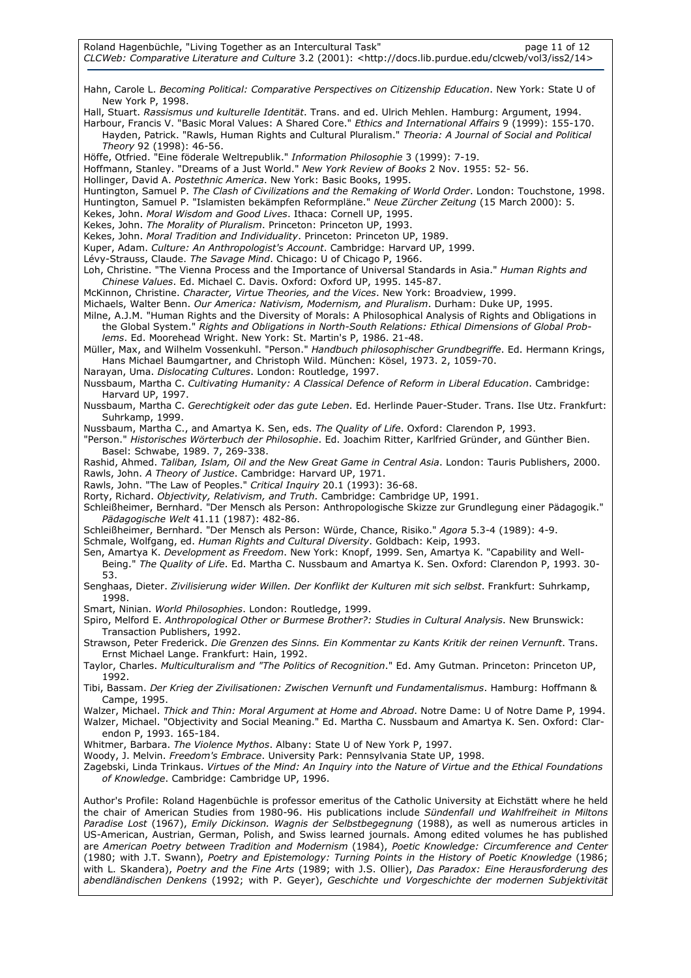Hahn, Carole L. Becoming Political: Comparative Perspectives on Citizenship Education. New York: State U of New York P, 1998.

Hall, Stuart. Rassismus und kulturelle Identität. Trans. and ed. Ulrich Mehlen. Hamburg: Argument, 1994.

Harbour, Francis V. "Basic Moral Values: A Shared Core." Ethics and International Affairs 9 (1999): 155-170. Hayden, Patrick. "Rawls, Human Rights and Cultural Pluralism." Theoria: A Journal of Social and Political Theory 92 (1998): 46-56.

Höffe, Otfried. "Eine föderale Weltrepublik." Information Philosophie 3 (1999): 7-19.

Hoffmann, Stanley. "Dreams of a Just World." New York Review of Books 2 Nov. 1955: 52- 56.

Hollinger, David A. Postethnic America. New York: Basic Books, 1995.

Huntington, Samuel P. The Clash of Civilizations and the Remaking of World Order. London: Touchstone, 1998. Huntington, Samuel P. "Islamisten bekämpfen Reformpläne." Neue Zürcher Zeitung (15 March 2000): 5.

Kekes, John. Moral Wisdom and Good Lives. Ithaca: Cornell UP, 1995.

Kekes, John. The Morality of Pluralism. Princeton: Princeton UP, 1993.

Kekes, John. Moral Tradition and Individuality. Princeton: Princeton UP, 1989.

Kuper, Adam. Culture: An Anthropologist's Account. Cambridge: Harvard UP, 1999.

Lévy-Strauss, Claude. The Savage Mind. Chicago: U of Chicago P, 1966.

Loh, Christine. "The Vienna Process and the Importance of Universal Standards in Asia." Human Rights and Chinese Values. Ed. Michael C. Davis. Oxford: Oxford UP, 1995. 145-87.

McKinnon, Christine. Character, Virtue Theories, and the Vices. New York: Broadview, 1999.

#### Michaels, Walter Benn. Our America: Nativism, Modernism, and Pluralism. Durham: Duke UP, 1995. Milne, A.J.M. "Human Rights and the Diversity of Morals: A Philosophical Analysis of Rights and Obligations in

the Global System." Rights and Obligations in North-South Relations: Ethical Dimensions of Global Problems. Ed. Moorehead Wright. New York: St. Martin's P, 1986. 21-48.

Müller, Max, and Wilhelm Vossenkuhl. "Person." Handbuch philosophischer Grundbegriffe. Ed. Hermann Krings, Hans Michael Baumgartner, and Christoph Wild. München: Kösel, 1973. 2, 1059-70.

Narayan, Uma. Dislocating Cultures. London: Routledge, 1997.

Nussbaum, Martha C. Cultivating Humanity: A Classical Defence of Reform in Liberal Education. Cambridge: Harvard UP, 1997.

Nussbaum, Martha C. Gerechtigkeit oder das gute Leben. Ed. Herlinde Pauer-Studer. Trans. Ilse Utz. Frankfurt: Suhrkamp, 1999.

Nussbaum, Martha C., and Amartya K. Sen, eds. The Quality of Life. Oxford: Clarendon P, 1993.

"Person." Historisches Wörterbuch der Philosophie. Ed. Joachim Ritter, Karlfried Gründer, and Günther Bien. Basel: Schwabe, 1989. 7, 269-338.

Rashid, Ahmed. Taliban, Islam, Oil and the New Great Game in Central Asia. London: Tauris Publishers, 2000. Rawls, John. A Theory of Justice. Cambridge: Harvard UP, 1971.

Rawls, John. "The Law of Peoples." Critical Inquiry 20.1 (1993): 36-68.

Rorty, Richard. Objectivity, Relativism, and Truth. Cambridge: Cambridge UP, 1991.

Schleißheimer, Bernhard. "Der Mensch als Person: Anthropologische Skizze zur Grundlegung einer Pädagogik." Pädagogische Welt 41.11 (1987): 482-86.

Schleißheimer, Bernhard. "Der Mensch als Person: Würde, Chance, Risiko." Agora 5.3-4 (1989): 4-9.

Schmale, Wolfgang, ed. Human Rights and Cultural Diversity. Goldbach: Keip, 1993.

Sen, Amartya K. Development as Freedom. New York: Knopf, 1999. Sen, Amartya K. "Capability and Well-Being." The Quality of Life. Ed. Martha C. Nussbaum and Amartya K. Sen. Oxford: Clarendon P, 1993. 30- 53.

Senghaas, Dieter. Zivilisierung wider Willen. Der Konflikt der Kulturen mit sich selbst. Frankfurt: Suhrkamp, 1998.

Smart, Ninian. World Philosophies. London: Routledge, 1999.

Spiro, Melford E. Anthropological Other or Burmese Brother?: Studies in Cultural Analysis. New Brunswick: Transaction Publishers, 1992.

Strawson, Peter Frederick. Die Grenzen des Sinns. Ein Kommentar zu Kants Kritik der reinen Vernunft. Trans. Ernst Michael Lange. Frankfurt: Hain, 1992.

Taylor, Charles. Multiculturalism and "The Politics of Recognition." Ed. Amy Gutman. Princeton: Princeton UP, 1992.

Tibi, Bassam. Der Krieg der Zivilisationen: Zwischen Vernunft und Fundamentalismus. Hamburg: Hoffmann & Campe, 1995.

Walzer, Michael. Thick and Thin: Moral Argument at Home and Abroad. Notre Dame: U of Notre Dame P, 1994. Walzer, Michael. "Objectivity and Social Meaning." Ed. Martha C. Nussbaum and Amartya K. Sen. Oxford: Clarendon P, 1993. 165-184.

Whitmer, Barbara. The Violence Mythos. Albany: State U of New York P, 1997.

Woody, J. Melvin. Freedom's Embrace. University Park: Pennsylvania State UP, 1998.

Zagebski, Linda Trinkaus. Virtues of the Mind: An Inquiry into the Nature of Virtue and the Ethical Foundations of Knowledge. Cambridge: Cambridge UP, 1996.

Author's Profile: Roland Hagenbüchle is professor emeritus of the Catholic University at Eichstätt where he held the chair of American Studies from 1980-96. His publications include Sündenfall und Wahlfreiheit in Miltons Paradise Lost (1967), Emily Dickinson. Wagnis der Selbstbegegnung (1988), as well as numerous articles in US-American, Austrian, German, Polish, and Swiss learned journals. Among edited volumes he has published are American Poetry between Tradition and Modernism (1984), Poetic Knowledge: Circumference and Center (1980; with J.T. Swann), Poetry and Epistemology: Turning Points in the History of Poetic Knowledge (1986; with L. Skandera), Poetry and the Fine Arts (1989; with J.S. Ollier), Das Paradox: Eine Herausforderung des abendländischen Denkens (1992; with P. Geyer), Geschichte und Vorgeschichte der modernen Subjektivität